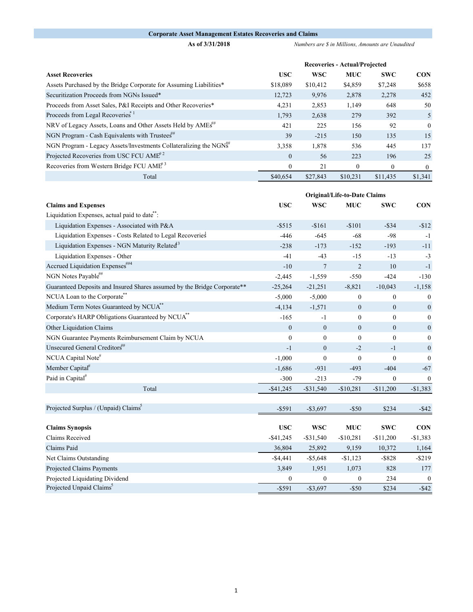## **Corporate Asset Management Estates Recoveries and Claims**

**As of 3/31/2018** *Numbers are \$ in Millions, Amounts are Unaudited* 

|                                                                         | <b>Recoveries - Actual/Projected</b> |            |              |            |              |  |
|-------------------------------------------------------------------------|--------------------------------------|------------|--------------|------------|--------------|--|
| <b>Asset Recoveries</b>                                                 | <b>USC</b>                           | <b>WSC</b> | <b>MUC</b>   | <b>SWC</b> | <b>CON</b>   |  |
| Assets Purchased by the Bridge Corporate for Assuming Liabilities*      | \$18,089                             | \$10,412   | \$4,859      | \$7,248    | \$658        |  |
| Securitization Proceeds from NGNs Issued*                               | 12,723                               | 9,976      | 2,878        | 2,278      | 452          |  |
| Proceeds from Asset Sales, P&I Receipts and Other Recoveries*           | 4,231                                | 2,853      | 1,149        | 648        | 50           |  |
| Proceeds from Legal Recoveries <sup>*1</sup>                            | 1,793                                | 2,638      | 279          | 392        | 5            |  |
| NRV of Legacy Assets, Loans and Other Assets Held by AMEs <sup>##</sup> | 421                                  | 225        | 156          | 92         | $\theta$     |  |
| NGN Program - Cash Equivalents with Trustees"                           | 39                                   | $-215$     | 150          | 135        | 15           |  |
| NGN Program - Legacy Assets/Investments Collateralizing the NGNS        | 3,358                                | 1,878      | 536          | 445        | 137          |  |
| Projected Recoveries from USC FCU AME <sup>#2</sup>                     | $\theta$                             | 56         | 223          | 196        | 25           |  |
| Recoveries from Western Bridge FCU AME <sup>#3</sup>                    | $\mathbf{0}$                         | 21         | $\mathbf{0}$ | $\Omega$   | $\mathbf{0}$ |  |
| Total                                                                   | \$40,654                             | \$27,843   | \$10.231     | \$11,435   | \$1,341      |  |

|                                                                          | <b>Original/Life-to-Date Claims</b> |                 |                  |                  |                  |
|--------------------------------------------------------------------------|-------------------------------------|-----------------|------------------|------------------|------------------|
| <b>Claims and Expenses</b>                                               | <b>USC</b>                          | <b>WSC</b>      | <b>MUC</b>       | <b>SWC</b>       | <b>CON</b>       |
| Liquidation Expenses, actual paid to date <sup>**</sup> :                |                                     |                 |                  |                  |                  |
| Liquidation Expenses - Associated with P&A                               | $-$ \$515                           | $-$161$         | $-$101$          | $-$ \$34         | $-$12$           |
| Liquidation Expenses - Costs Related to Legal Recoveries                 | $-446$                              | $-645$          | $-68$            | $-98$            | $-1$             |
| Liquidation Expenses - NGN Maturity Related <sup>13</sup>                | $-238$                              | $-173$          | $-152$           | $-193$           | $-11$            |
| Liquidation Expenses - Other                                             | $-41$                               | $-43$           | $-15$            | $-13$            | $-3$             |
| Accrued Liquidation Expenses##4                                          | $-10$                               | $7\phantom{.0}$ | $\overline{2}$   | 10               | $-1$             |
| NGN Notes Payable##                                                      | $-2,445$                            | $-1,559$        | $-550$           | $-424$           | $-130$           |
| Guaranteed Deposits and Insured Shares assumed by the Bridge Corporate** | $-25,264$                           | $-21,251$       | $-8,821$         | $-10,043$        | $-1,158$         |
| NCUA Loan to the Corporate <sup>**</sup>                                 | $-5,000$                            | $-5,000$        | $\boldsymbol{0}$ | $\boldsymbol{0}$ | $\boldsymbol{0}$ |
| Medium Term Notes Guaranteed by NCUA <sup>**</sup>                       | $-4,134$                            | $-1,571$        | $\mathbf{0}$     | $\mathbf{0}$     | $\mathbf{0}$     |
| Corporate's HARP Obligations Guaranteed by NCUA <sup>**</sup>            | $-165$                              | $-1$            | $\mathbf{0}$     | $\mathbf{0}$     | $\overline{0}$   |
| Other Liquidation Claims                                                 | $\mathbf{0}$                        | $\mathbf{0}$    | $\mathbf{0}$     | $\mathbf{0}$     | $\boldsymbol{0}$ |
| NGN Guarantee Payments Reimbursement Claim by NCUA                       | $\mathbf{0}$                        | $\overline{0}$  | $\mathbf{0}$     | $\mathbf{0}$     | $\mathbf{0}$     |
| Unsecured General Creditors##                                            | $-1$                                | $\mathbf{0}$    | $-2$             | $-1$             | $\mathbf{0}$     |
| NCUA Capital Note#                                                       | $-1,000$                            | $\overline{0}$  | $\theta$         | $\theta$         | $\mathbf{0}$     |
| Member Capital <sup>#</sup>                                              | $-1,686$                            | $-931$          | $-493$           | $-404$           | $-67$            |
| Paid in Capital <sup>#</sup>                                             | $-300$                              | $-213$          | $-79$            | $\mathbf{0}$     | $\mathbf{0}$     |
| Total                                                                    | $-$ \$41,245                        | $-$ \$31,540    | $-$10,281$       | $-$11,200$       | $-$1,383$        |
|                                                                          |                                     |                 |                  |                  |                  |
| Projected Surplus / (Unpaid) Claims <sup>5</sup>                         | $-$ \$591                           | $-\$3,697$      | $-$ \$50         | \$234            | $-$ \$42         |
|                                                                          |                                     |                 |                  |                  |                  |
| <b>Claims Synopsis</b>                                                   | <b>USC</b>                          | <b>WSC</b>      | <b>MUC</b>       | <b>SWC</b>       | <b>CON</b>       |
| <b>Claims Received</b>                                                   | $-$ \$41,245                        | $-$ \$31,540    | $-$10,281$       | $-$11,200$       | $-$1,383$        |
| Claims Paid                                                              | 36,804                              | 25,892          | 9,159            | 10,372           | 1,164            |
| Net Claims Outstanding                                                   | $-$ \$4,441                         | $-$5,648$       | $-$1,123$        | $-$ \$828        | $-$ \$219        |
| Projected Claims Payments                                                | 3,849                               | 1,951           | 1,073            | 828              | 177              |
| Projected Liquidating Dividend                                           | $\boldsymbol{0}$                    | $\mathbf{0}$    | $\mathbf{0}$     | 234              | $\theta$         |
| Projected Unpaid Claims <sup>5</sup>                                     | $-$ \$591                           | $-\$3,697$      | $-$ \$50         | \$234            | $-$ \$42         |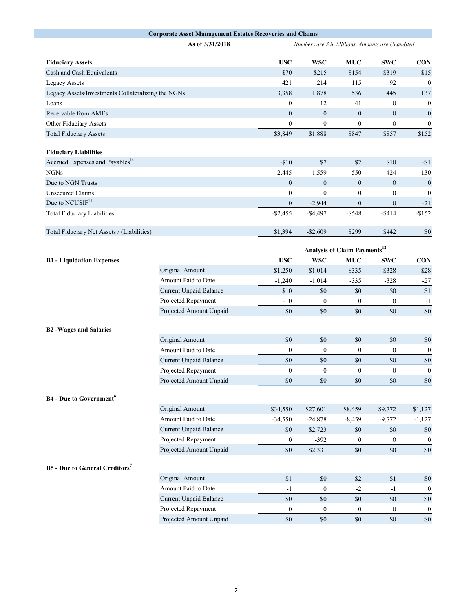|                                                    | <b>Corporate Asset Management Estates Recoveries and Claims</b> |                                          |                                                   |                  |                  |                                        |  |
|----------------------------------------------------|-----------------------------------------------------------------|------------------------------------------|---------------------------------------------------|------------------|------------------|----------------------------------------|--|
|                                                    | As of 3/31/2018                                                 |                                          | Numbers are \$ in Millions, Amounts are Unaudited |                  |                  |                                        |  |
| <b>Fiduciary Assets</b>                            |                                                                 | <b>USC</b>                               | <b>WSC</b>                                        | <b>MUC</b>       | <b>SWC</b>       | <b>CON</b>                             |  |
| Cash and Cash Equivalents                          |                                                                 | \$70                                     | $-$ \$215                                         | \$154            | \$319            | \$15                                   |  |
| <b>Legacy Assets</b>                               |                                                                 | 421                                      | 214                                               | 115              | 92               | $\boldsymbol{0}$                       |  |
| Legacy Assets/Investments Collateralizing the NGNs |                                                                 | 3,358                                    | 1,878                                             | 536              | 445              | 137                                    |  |
| Loans                                              |                                                                 | $\boldsymbol{0}$                         | 12                                                | 41               | $\boldsymbol{0}$ | $\boldsymbol{0}$                       |  |
| Receivable from AMEs                               |                                                                 | $\boldsymbol{0}$                         | $\boldsymbol{0}$                                  | $\mathbf{0}$     | $\boldsymbol{0}$ | $\boldsymbol{0}$                       |  |
| Other Fiduciary Assets                             |                                                                 | $\boldsymbol{0}$                         | $\boldsymbol{0}$                                  | $\boldsymbol{0}$ | $\boldsymbol{0}$ | $\boldsymbol{0}$                       |  |
| <b>Total Fiduciary Assets</b>                      |                                                                 | \$3,849                                  | \$1,888                                           | \$847            | \$857            | \$152                                  |  |
| <b>Fiduciary Liabilities</b>                       |                                                                 |                                          |                                                   |                  |                  |                                        |  |
| Accrued Expenses and Payables <sup>14</sup>        |                                                                 | $-$10$                                   | \$7                                               | $$2$$            | \$10             | $-$1$                                  |  |
| NGNs                                               |                                                                 | $-2,445$                                 | $-1,559$                                          | $-550$           | $-424$           | $-130$                                 |  |
| Due to NGN Trusts                                  |                                                                 | $\overline{0}$                           | $\boldsymbol{0}$                                  | $\mathbf{0}$     | $\mathbf{0}$     | $\boldsymbol{0}$                       |  |
| <b>Unsecured Claims</b>                            |                                                                 | $\mathbf{0}$                             | $\boldsymbol{0}$                                  | $\boldsymbol{0}$ | $\boldsymbol{0}$ | $\mathbf{0}$                           |  |
| Due to NCUSIF <sup>11</sup>                        |                                                                 | $\mathbf{0}$                             | $-2,944$                                          | $\mathbf{0}$     | $\mathbf{0}$     | $-21$                                  |  |
| <b>Total Fiduciary Liabilities</b>                 |                                                                 | $-$2,455$                                | $-$4,497$                                         | $-$ \$548        | $-$ \$414        | $-$152$                                |  |
| Total Fiduciary Net Assets / (Liabilities)         |                                                                 | \$1,394                                  | $-$2,609$                                         | \$299            | \$442            | $\$0$                                  |  |
|                                                    |                                                                 |                                          |                                                   |                  |                  |                                        |  |
|                                                    |                                                                 | Analysis of Claim Payments <sup>12</sup> |                                                   |                  |                  |                                        |  |
| <b>B1</b> - Liquidation Expenses                   |                                                                 | <b>USC</b>                               | <b>WSC</b>                                        | <b>MUC</b>       | <b>SWC</b>       | <b>CON</b>                             |  |
|                                                    | Original Amount                                                 | \$1,250                                  | \$1,014                                           | \$335            | \$328            | \$28                                   |  |
|                                                    | Amount Paid to Date                                             | $-1,240$                                 | $-1,014$                                          | $-335$           | $-328$           | $-27$                                  |  |
|                                                    | Current Unpaid Balance                                          | \$10                                     | \$0                                               | \$0              | \$0              | \$1                                    |  |
|                                                    | Projected Repayment                                             | $-10$                                    | $\boldsymbol{0}$                                  | $\boldsymbol{0}$ | $\boldsymbol{0}$ | $-1$                                   |  |
|                                                    | Projected Amount Unpaid                                         | \$0                                      | $\$0$                                             | \$0              | \$0              | \$0                                    |  |
| <b>B2-Wages and Salaries</b>                       |                                                                 |                                          |                                                   |                  |                  |                                        |  |
|                                                    | Original Amount                                                 | \$0                                      | $\$0$                                             | \$0              | \$0              | \$0                                    |  |
|                                                    | Amount Paid to Date                                             | $\boldsymbol{0}$                         | $\boldsymbol{0}$                                  | $\boldsymbol{0}$ | $\boldsymbol{0}$ | $\boldsymbol{0}$                       |  |
|                                                    | Current Unpaid Balance                                          | \$0                                      | \$0                                               | \$0              | \$0              | \$0                                    |  |
|                                                    | Projected Repayment                                             | $\mathbf{0}$                             | $\boldsymbol{0}$                                  | $\boldsymbol{0}$ | $\boldsymbol{0}$ | $\boldsymbol{0}$                       |  |
|                                                    | Projected Amount Unpaid                                         | \$0                                      | \$0                                               | \$0              | \$0              | $\boldsymbol{\mathsf{S}}$ <sup>0</sup> |  |
|                                                    |                                                                 |                                          |                                                   |                  |                  |                                        |  |
| <b>B4</b> - Due to Government <sup>6</sup>         |                                                                 |                                          |                                                   |                  |                  |                                        |  |
|                                                    | Original Amount                                                 | \$34,550                                 | \$27,601                                          | \$8,459          | \$9,772          | \$1,127                                |  |
|                                                    | Amount Paid to Date                                             | $-34,550$                                | $-24,878$                                         | $-8,459$         | $-9,772$         | $-1,127$                               |  |
|                                                    | <b>Current Unpaid Balance</b>                                   | \$0                                      | \$2,723                                           | \$0              | \$0              | \$0                                    |  |
|                                                    | Projected Repayment                                             | $\bf{0}$                                 | $-392$                                            | $\bf{0}$         | $\overline{0}$   | $\boldsymbol{0}$                       |  |
|                                                    | Projected Amount Unpaid                                         | \$0                                      | \$2,331                                           | \$0              | \$0              | \$0                                    |  |
| <b>B5</b> - Due to General Creditors <sup>7</sup>  |                                                                 |                                          |                                                   |                  |                  |                                        |  |
|                                                    | Original Amount                                                 | \$1                                      | $\$0$                                             | \$2              | \$1              | $\$0$                                  |  |
|                                                    | Amount Paid to Date                                             | $-1$                                     | $\boldsymbol{0}$                                  | $-2$             | $-1$             | $\boldsymbol{0}$                       |  |
|                                                    | Current Unpaid Balance                                          | \$0                                      | \$0                                               | \$0              | \$0              | \$0                                    |  |
|                                                    | Projected Repayment                                             | $\boldsymbol{0}$                         | $\boldsymbol{0}$                                  | $\boldsymbol{0}$ | $\boldsymbol{0}$ | $\boldsymbol{0}$                       |  |
|                                                    | Projected Amount Unpaid                                         | $\$0$                                    | $\$0$                                             | \$0              | $\$0$            | $\$0$                                  |  |
|                                                    |                                                                 |                                          |                                                   |                  |                  |                                        |  |